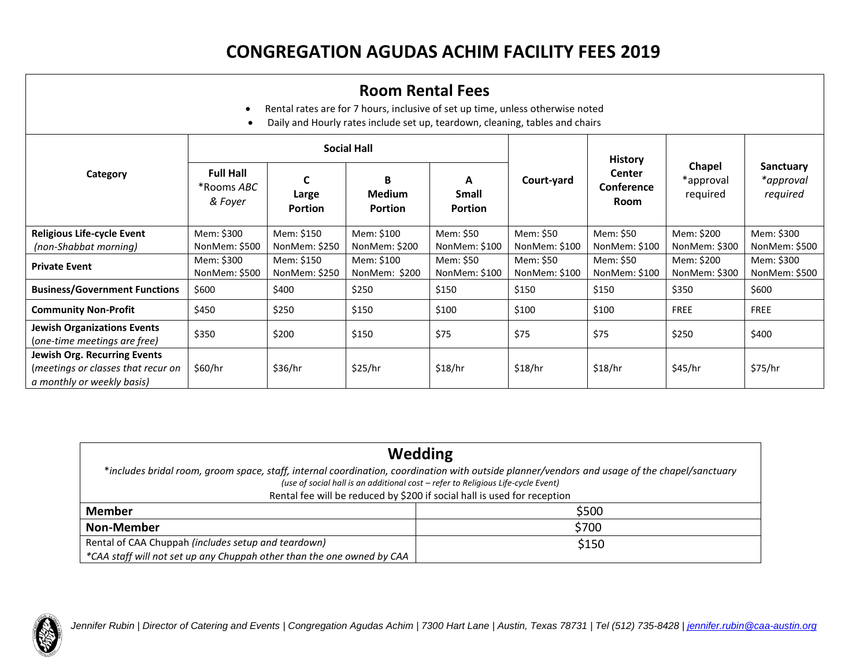## **CONGREGATION AGUDAS ACHIM FACILITY FEES 2019**

| <b>Room Rental Fees</b><br>Rental rates are for 7 hours, inclusive of set up time, unless otherwise noted<br>$\bullet$<br>Daily and Hourly rates include set up, teardown, cleaning, tables and chairs |                                           |                             |                                             |                            |                            |                                                       |                                 |                                    |
|--------------------------------------------------------------------------------------------------------------------------------------------------------------------------------------------------------|-------------------------------------------|-----------------------------|---------------------------------------------|----------------------------|----------------------------|-------------------------------------------------------|---------------------------------|------------------------------------|
|                                                                                                                                                                                                        | <b>Social Hall</b>                        |                             |                                             |                            |                            |                                                       |                                 |                                    |
| Category                                                                                                                                                                                               | <b>Full Hall</b><br>*Rooms ABC<br>& Foyer | C<br>Large<br>Portion       | <b>B</b><br><b>Medium</b><br><b>Portion</b> | A<br>Small<br>Portion      | Court-yard                 | <b>History</b><br><b>Center</b><br>Conference<br>Room | Chapel<br>*approval<br>required | Sanctuary<br>*approval<br>required |
| <b>Religious Life-cycle Event</b>                                                                                                                                                                      | Mem: \$300                                | Mem: \$150                  | Mem: \$100                                  | Mem: \$50                  | Mem: \$50                  | Mem: \$50                                             | Mem: \$200                      | Mem: \$300                         |
| (non-Shabbat morning)                                                                                                                                                                                  | NonMem: \$500                             | NonMem: \$250               | NonMem: \$200                               | NonMem: \$100              | NonMem: \$100              | NonMem: \$100                                         | NonMem: \$300                   | NonMem: \$500                      |
| <b>Private Event</b>                                                                                                                                                                                   | Mem: \$300<br>NonMem: \$500               | Mem: \$150<br>NonMem: \$250 | Mem: \$100<br>NonMem: \$200                 | Mem: \$50<br>NonMem: \$100 | Mem: \$50<br>NonMem: \$100 | Mem: \$50<br>NonMem: \$100                            | Mem: \$200<br>NonMem: \$300     | Mem: \$300<br>NonMem: \$500        |
| <b>Business/Government Functions</b>                                                                                                                                                                   | \$600                                     | \$400                       | \$250                                       | \$150                      | \$150                      | \$150                                                 | \$350                           | \$600                              |
| <b>Community Non-Profit</b>                                                                                                                                                                            | \$450                                     | \$250                       | \$150                                       | \$100                      | \$100                      | \$100                                                 | <b>FREE</b>                     | <b>FREE</b>                        |
| <b>Jewish Organizations Events</b><br>(one-time meetings are free)                                                                                                                                     | \$350                                     | \$200                       | \$150                                       | \$75                       | \$75                       | \$75                                                  | \$250                           | \$400                              |
| <b>Jewish Org. Recurring Events</b><br>(meetings or classes that recur on<br>a monthly or weekly basis)                                                                                                | \$60/hr                                   | \$36/hr                     | \$25/hr                                     | \$18/hr                    | \$18/hr                    | \$18/hr                                               | \$45/hr                         | \$75/hr                            |

| Wedding                                                                                                                                                                                                                                                                                                       |       |  |
|---------------------------------------------------------------------------------------------------------------------------------------------------------------------------------------------------------------------------------------------------------------------------------------------------------------|-------|--|
| *includes bridal room, groom space, staff, internal coordination, coordination with outside planner/vendors and usage of the chapel/sanctuary<br>(use of social hall is an additional cost - refer to Religious Life-cycle Event)<br>Rental fee will be reduced by \$200 if social hall is used for reception |       |  |
| <b>Member</b>                                                                                                                                                                                                                                                                                                 | \$500 |  |
| Non-Member                                                                                                                                                                                                                                                                                                    | \$700 |  |
| Rental of CAA Chuppah (includes setup and teardown)<br>*CAA staff will not set up any Chuppah other than the one owned by CAA                                                                                                                                                                                 | \$150 |  |